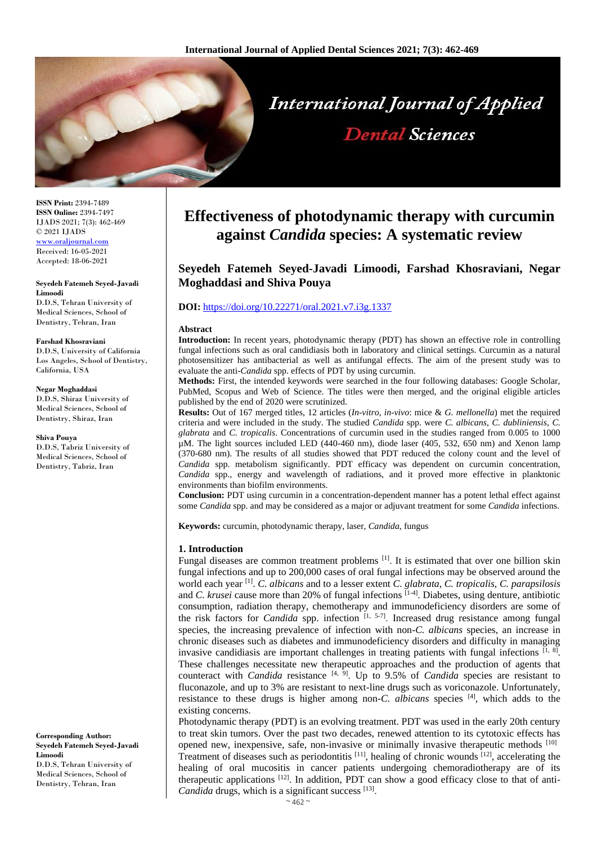

**ISSN Print:** 2394-7489 **ISSN Online:** 2394-7497 IJADS 2021; 7(3): 462-469 © 2021 IJADS [www.oraljournal.com](http://www.oraljournal.com/) Received: 16-05-2021 Accepted: 18-06-2021

**Seyedeh Fatemeh Seyed-Javadi Limoodi** D.D.S, Tehran University of Medical Sciences, School of Dentistry, Tehran, Iran

#### **Farshad Khosraviani**

D.D.S, University of California Los Angeles, School of Dentistry, California, USA

#### **Negar Moghaddasi**

D.D.S, Shiraz University of Medical Sciences, School of Dentistry, Shiraz, Iran

#### **Shiva Pouya**

D.D.S, Tabriz University of Medical Sciences, School of Dentistry, Tabriz, Iran

**Corresponding Author: Seyedeh Fatemeh Seyed-Javadi Limoodi** D.D.S, Tehran University of Medical Sciences, School of Dentistry, Tehran, Iran

# **Effectiveness of photodynamic therapy with curcumin against** *Candida* **species: A systematic review**

# **Seyedeh Fatemeh Seyed-Javadi Limoodi, Farshad Khosraviani, Negar Moghaddasi and Shiva Pouya**

# **DOI:** <https://doi.org/10.22271/oral.2021.v7.i3g.1337>

#### **Abstract**

**Introduction:** In recent years, photodynamic therapy (PDT) has shown an effective role in controlling fungal infections such as oral candidiasis both in laboratory and clinical settings. Curcumin as a natural photosensitizer has antibacterial as well as antifungal effects. The aim of the present study was to evaluate the anti-*Candida* spp. effects of PDT by using curcumin.

**Methods:** First, the intended keywords were searched in the four following databases: Google Scholar, PubMed, Scopus and Web of Science. The titles were then merged, and the original eligible articles published by the end of 2020 were scrutinized.

**Results:** Out of 167 merged titles, 12 articles (*In-vitro*, *in-vivo*: mice & *G. mellonella*) met the required criteria and were included in the study. The studied *Candida* spp. were *C. albicans*, *C. dubliniensis*, *C. glabrata* and *C. tropicalis*. Concentrations of curcumin used in the studies ranged from 0.005 to 1000 µM. The light sources included LED (440-460 nm), diode laser (405, 532, 650 nm) and Xenon lamp (370-680 nm). The results of all studies showed that PDT reduced the colony count and the level of *Candida* spp. metabolism significantly. PDT efficacy was dependent on curcumin concentration, *Candida* spp., energy and wavelength of radiations, and it proved more effective in planktonic environments than biofilm environments.

**Conclusion:** PDT using curcumin in a concentration-dependent manner has a potent lethal effect against some *Candida* spp. and may be considered as a major or adjuvant treatment for some *Candida* infections.

**Keywords:** curcumin, photodynamic therapy, laser, *Candida*, fungus

#### **1. Introduction**

Fungal diseases are common treatment problems  $[1]$ . It is estimated that over one billion skin fungal infections and up to 200,000 cases of oral fungal infections may be observed around the world each year [1] . *C. albicans* and to a lesser extent *C. glabrata*, *C. tropicalis*, *C. parapsilosis* and *C. krusei* cause more than 20% of fungal infections <sup>[1-4]</sup>. Diabetes, using denture, antibiotic consumption, radiation therapy, chemotherapy and immunodeficiency disorders are some of the risk factors for *Candida* spp. infection  $[1, 5-7]$ . Increased drug resistance among fungal species, the increasing prevalence of infection with non-*C. albicans* species, an increase in chronic diseases such as diabetes and immunodeficiency disorders and difficulty in managing invasive candidiasis are important challenges in treating patients with fungal infections  $[1, 8]$ . These challenges necessitate new therapeutic approaches and the production of agents that counteract with *Candida* resistance  $[4, 9]$ . Up to 9.5% of *Candida* species are resistant to fluconazole, and up to 3% are resistant to next-line drugs such as voriconazole. Unfortunately, resistance to these drugs is higher among non-*C. albicans* species [4] , which adds to the existing concerns.

Photodynamic therapy (PDT) is an evolving treatment. PDT was used in the early 20th century to treat skin tumors. Over the past two decades, renewed attention to its cytotoxic effects has opened new, inexpensive, safe, non-invasive or minimally invasive therapeutic methods [10] Treatment of diseases such as periodontitis [11], healing of chronic wounds [12], accelerating the healing of oral mucositis in cancer patients undergoing chemoradiotherapy are of its therapeutic applications  $[12]$ . In addition, PDT can show a good efficacy close to that of anti-Candida drugs, which is a significant success [13].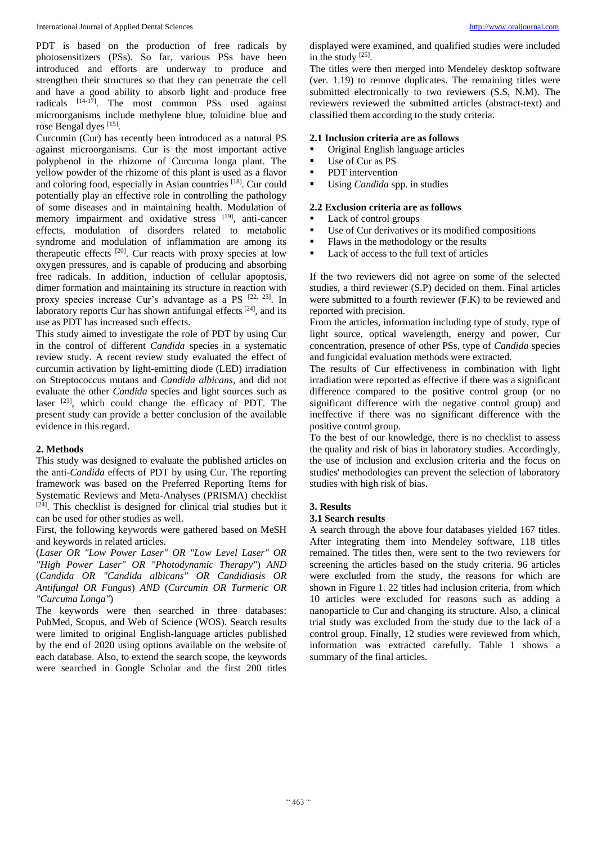PDT is based on the production of free radicals by photosensitizers (PSs). So far, various PSs have been introduced and efforts are underway to produce and strengthen their structures so that they can penetrate the cell and have a good ability to absorb light and produce free radicals [14-17]. The most common PSs used against microorganisms include methylene blue, toluidine blue and rose Bengal dyes [15].

Curcumin (Cur) has recently been introduced as a natural PS against microorganisms. Cur is the most important active polyphenol in the rhizome of Curcuma longa plant. The yellow powder of the rhizome of this plant is used as a flavor and coloring food, especially in Asian countries [18]. Cur could potentially play an effective role in controlling the pathology of some diseases and in maintaining health. Modulation of memory impairment and oxidative stress [19], anti-cancer effects, modulation of disorders related to metabolic syndrome and modulation of inflammation are among its therapeutic effects <sup>[20]</sup>. Cur reacts with proxy species at low oxygen pressures, and is capable of producing and absorbing free radicals. In addition, induction of cellular apoptosis, dimer formation and maintaining its structure in reaction with proxy species increase Cur's advantage as a PS [22, 23]. In laboratory reports Cur has shown antifungal effects<sup>[24]</sup>, and its use as PDT has increased such effects.

This study aimed to investigate the role of PDT by using Cur in the control of different *Candida* species in a systematic review study. A recent review study evaluated the effect of curcumin activation by light-emitting diode (LED) irradiation on Streptococcus mutans and *Candida albicans*, and did not evaluate the other *Candida* species and light sources such as laser [23], which could change the efficacy of PDT. The present study can provide a better conclusion of the available evidence in this regard.

#### **2. Methods**

This study was designed to evaluate the published articles on the anti-*Candida* effects of PDT by using Cur. The reporting framework was based on the Preferred Reporting Items for Systematic Reviews and Meta-Analyses (PRISMA) checklist [24]. This checklist is designed for clinical trial studies but it can be used for other studies as well.

First, the following keywords were gathered based on MeSH and keywords in related articles.

(*Laser OR "Low Power Laser" OR "Low Level Laser" OR "High Power Laser" OR "Photodynamic Therapy"*) *AND*  (*Candida OR "Candida albicans" OR Candidiasis OR Antifungal OR Fungus*) *AND* (*Curcumin OR Turmeric OR "Curcuma Longa"*)

The keywords were then searched in three databases: PubMed, Scopus, and Web of Science (WOS). Search results were limited to original English-language articles published by the end of 2020 using options available on the website of each database. Also, to extend the search scope, the keywords were searched in Google Scholar and the first 200 titles

displayed were examined, and qualified studies were included in the study [25].

The titles were then merged into Mendeley desktop software (ver. 1.19) to remove duplicates. The remaining titles were submitted electronically to two reviewers (S.S, N.M). The reviewers reviewed the submitted articles (abstract-text) and classified them according to the study criteria.

# **2.1 Inclusion criteria are as follows**

- Original English language articles<br>• Use of Cur as PS
- Use of Cur as PS
- **•** PDT intervention
- Using *Candida* spp. in studies

## **2.2 Exclusion criteria are as follows**

- Lack of control groups
- Use of Cur derivatives or its modified compositions
- Flaws in the methodology or the results
- Lack of access to the full text of articles

If the two reviewers did not agree on some of the selected studies, a third reviewer (S.P) decided on them. Final articles were submitted to a fourth reviewer (F.K) to be reviewed and reported with precision.

From the articles, information including type of study, type of light source, optical wavelength, energy and power, Cur concentration, presence of other PSs, type of *Candida* species and fungicidal evaluation methods were extracted.

The results of Cur effectiveness in combination with light irradiation were reported as effective if there was a significant difference compared to the positive control group (or no significant difference with the negative control group) and ineffective if there was no significant difference with the positive control group.

To the best of our knowledge, there is no checklist to assess the quality and risk of bias in laboratory studies. Accordingly, the use of inclusion and exclusion criteria and the focus on studies' methodologies can prevent the selection of laboratory studies with high risk of bias.

#### **3. Results**

#### **3.1 Search results**

A search through the above four databases yielded 167 titles. After integrating them into Mendeley software, 118 titles remained. The titles then, were sent to the two reviewers for screening the articles based on the study criteria. 96 articles were excluded from the study, the reasons for which are shown in Figure 1. 22 titles had inclusion criteria, from which 10 articles were excluded for reasons such as adding a nanoparticle to Cur and changing its structure. Also, a clinical trial study was excluded from the study due to the lack of a control group. Finally, 12 studies were reviewed from which, information was extracted carefully. Table 1 shows a summary of the final articles.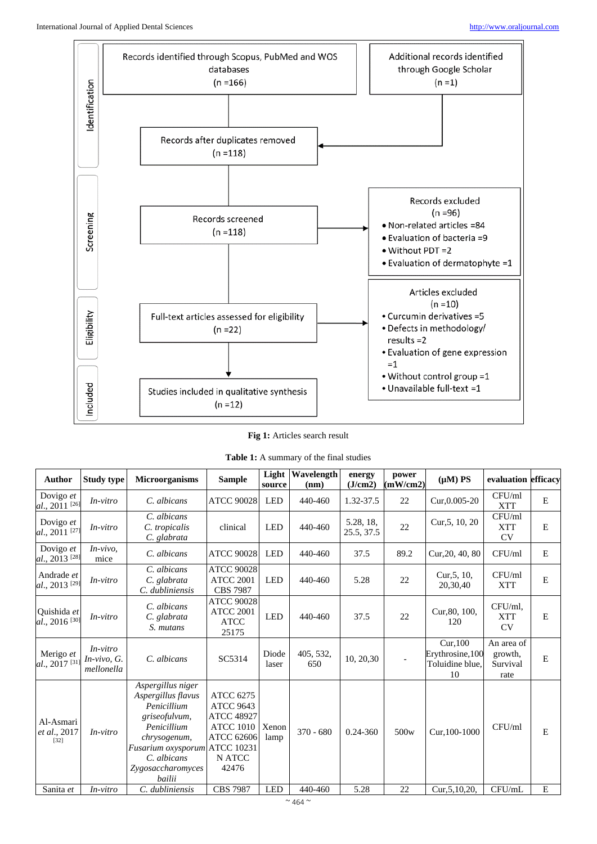

**Fig 1:** Articles search result

| <b>Table 1:</b> A summary of the final studies |  |
|------------------------------------------------|--|
|------------------------------------------------|--|

| <b>Author</b>                            | <b>Study type</b>                       | <b>Microorganisms</b>                                                                                                                                                      | <b>Sample</b>                                                                                                                       | Light<br>source | Wavelength<br>(nm) | energy<br>(J/cm2)       | power<br>(mW/cm2) | $(\mu M)$ PS                                         | evaluation efficacy                       |         |
|------------------------------------------|-----------------------------------------|----------------------------------------------------------------------------------------------------------------------------------------------------------------------------|-------------------------------------------------------------------------------------------------------------------------------------|-----------------|--------------------|-------------------------|-------------------|------------------------------------------------------|-------------------------------------------|---------|
| Dovigo et<br>$al., 2011$ <sup>[26]</sup> | $In-vitro$                              | C. albicans                                                                                                                                                                | <b>ATCC 90028</b>                                                                                                                   | <b>LED</b>      | 440-460            | 1.32-37.5               | 22                | Cur, 0.005-20                                        | CFU/ml<br>XTT                             | E       |
| Dovigo et<br>$al., 2011$ <sup>[27]</sup> | $In-vitro$                              | C. albicans<br>C. tropicalis<br>C. glabrata                                                                                                                                | clinical                                                                                                                            | <b>LED</b>      | 440-460            | 5.28, 18,<br>25.5, 37.5 | 22                | Cur, 5, 10, 20                                       | CFU/ml<br><b>XTT</b><br><b>CV</b>         | E       |
| Dovigo et<br>al., 2013 <sup>[28]</sup>   | $In-vivo$ ,<br>mice                     | C. albicans                                                                                                                                                                | <b>ATCC 90028</b>                                                                                                                   | <b>LED</b>      | 440-460            | 37.5                    | 89.2              | Cur, 20, 40, 80                                      | CFU/ml                                    | E       |
| Andrade et<br>al., 2013 <sup>[29]</sup>  | $In-vitro$                              | C. albicans<br>C. glabrata<br>C. dubliniensis                                                                                                                              | <b>ATCC 90028</b><br><b>ATCC 2001</b><br><b>CBS 7987</b>                                                                            | <b>LED</b>      | 440-460            | 5.28                    | 22                | Cur, 5, 10,<br>20,30,40                              | CFU/ml<br><b>XTT</b>                      | E       |
| Quishida et<br>al., 2016 <sup>[30]</sup> | $In-vitro$                              | C. albicans<br>C. glabrata<br>S. mutans                                                                                                                                    | <b>ATCC 90028</b><br><b>ATCC 2001</b><br><b>ATCC</b><br>25175                                                                       | <b>LED</b>      | 440-460            | 37.5                    | 22                | Cur, 80, 100,<br>120                                 | CFU/ml.<br>XTT<br>CV                      | E       |
| Merigo et<br>al., 2017 <sup>[31]</sup>   | $In-vitro$<br>In-vivo, G.<br>mellonella | C. albicans                                                                                                                                                                | SC5314                                                                                                                              | Diode<br>laser  | 405, 532,<br>650   | 10, 20, 30              |                   | Cur,100<br>Erythrosine, 100<br>Toluidine blue,<br>10 | An area of<br>growth,<br>Survival<br>rate | E       |
| Al-Asmari<br>et al., 2017<br>$[32]$      | $In-vitro$                              | Aspergillus niger<br>Aspergillus flavus<br>Penicillium<br>griseofulvum,<br>Penicillium<br>chrysogenum,<br>Fusarium oxysporum<br>C. albicans<br>Zygosaccharomyces<br>bailii | <b>ATCC 6275</b><br><b>ATCC 9643</b><br><b>ATCC 48927</b><br><b>ATCC 1010</b><br>ATCC 62606<br><b>ATCC 10231</b><br>N ATCC<br>42476 | Xenon<br>lamp   | $370 - 680$        | 0.24-360                | 500 <sub>w</sub>  | Cur.100-1000                                         | CFU/ml                                    | E       |
| Sanita et                                | $In-vitro$                              | C. dubliniensis                                                                                                                                                            | <b>CBS 7987</b>                                                                                                                     | <b>LED</b>      | 440-460            | 5.28                    | 22                | Cur, 5, 10, 20,                                      | CFU/mL                                    | $\bf E$ |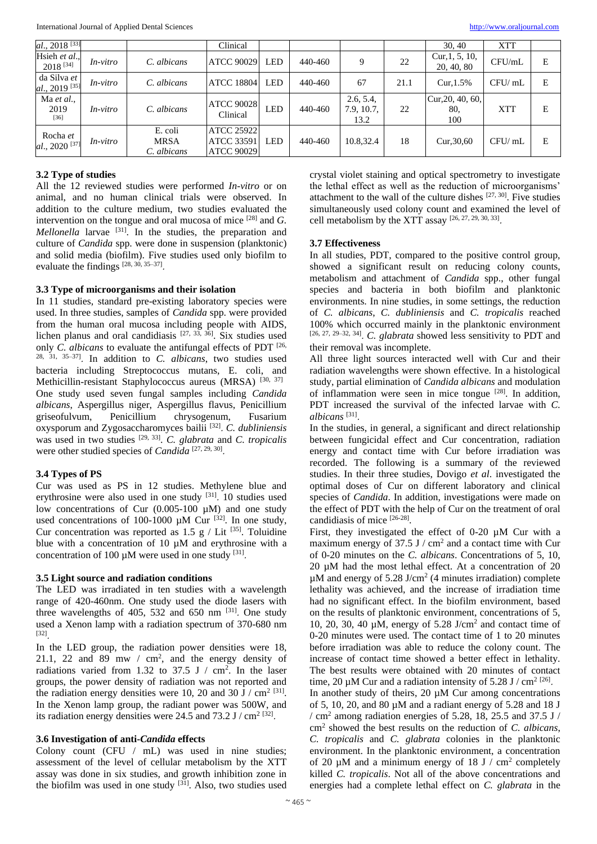| al., $2018^{[33]}$                         |                 |                                       | Clinical                                             |            |         |                                 |      | 30, 40                          | <b>XTT</b> |   |
|--------------------------------------------|-----------------|---------------------------------------|------------------------------------------------------|------------|---------|---------------------------------|------|---------------------------------|------------|---|
| Hsieh et al.,<br>$2018^{[34]}$             | <i>In-vitro</i> | C. albicans                           | <b>ATCC 90029</b>                                    | <b>LED</b> | 440-460 | 9                               | 22   | Cur, $1, 5, 10$ ,<br>20, 40, 80 | CFU/mL     | E |
| da Silva et<br>$al., 2019$ <sup>[35]</sup> | <i>In-vitro</i> | C. albicans                           | <b>ATCC 18804</b>                                    | <b>LED</b> | 440-460 | 67                              | 21.1 | $Cur.1.5\%$                     | CFU/ml     | Ε |
| Ma et al.,<br>2019<br>$[36]$               | <i>In-vitro</i> | C. albicans                           | <b>ATCC 90028</b><br>Clinical                        | <b>LED</b> | 440-460 | 2.6, 5.4,<br>7.9, 10.7,<br>13.2 | 22   | Cur, 20, 40, 60,<br>80,<br>100  | <b>XTT</b> | Е |
| Rocha et<br>$al., 2020$ <sup>[37]</sup>    | <i>In-vitro</i> | E. coli<br><b>MRSA</b><br>C. albicans | <b>ATCC 25922</b><br>ATCC 33591<br><b>ATCC 90029</b> | LED.       | 440-460 | 10.8,32.4                       | 18   | Cur, 30, 60                     | CFU/mL     | Е |

#### **3.2 Type of studies**

All the 12 reviewed studies were performed *In-vitro* or on animal, and no human clinical trials were observed. In addition to the culture medium, two studies evaluated the intervention on the tongue and oral mucosa of mice [28] and *G. Mellonella* larvae <sup>[31]</sup>. In the studies, the preparation and culture of *Candida* spp. were done in suspension (planktonic) and solid media (biofilm). Five studies used only biofilm to evaluate the findings  $[28, 30, 35-37]$ .

# **3.3 Type of microorganisms and their isolation**

In 11 studies, standard pre-existing laboratory species were used. In three studies, samples of *Candida* spp. were provided from the human oral mucosa including people with AIDS, lichen planus and oral candidiasis  $[27, 33, 36]$ . Six studies used only *C*. albicans to evaluate the antifungal effects of PDT [26, 28, 31, 35–37] . In addition to *C. albicans*, two studies used bacteria including Streptococcus mutans, E. coli, and Methicillin-resistant Staphylococcus aureus (MRSA) [30, 37] One study used seven fungal samples including *Candida albicans*, Aspergillus niger, Aspergillus flavus, Penicillium griseofulvum, Penicillium chrysogenum, Fusarium oxysporum and Zygosaccharomyces bailii [32] . *C. dubliniensis* was used in two studies [29, 33] . *C. glabrata* and *C. tropicalis* were other studied species of *Candida* [27, 29, 30].

#### **3.4 Types of PS**

Cur was used as PS in 12 studies. Methylene blue and erythrosine were also used in one study [31]. 10 studies used low concentrations of Cur  $(0.005-100 \mu M)$  and one study used concentrations of 100-1000  $\mu$ M Cur <sup>[32]</sup>. In one study, Cur concentration was reported as  $1.5 \text{ g}$  / Lit <sup>[35]</sup>. Toluidine blue with a concentration of 10  $\mu$ M and erythrosine with a concentration of 100  $\mu$ M were used in one study [31].

#### **3.5 Light source and radiation conditions**

The LED was irradiated in ten studies with a wavelength range of 420-460nm. One study used the diode lasers with three wavelengths of  $405$ ,  $532$  and  $650$  nm  $^{[31]}$ . One study used a Xenon lamp with a radiation spectrum of 370-680 nm [32] .

In the LED group, the radiation power densities were 18, 21.1, 22 and 89 mw  $/$  cm<sup>2</sup>, and the energy density of radiations varied from 1.32 to 37.5 J  $/$  cm<sup>2</sup>. In the laser groups, the power density of radiation was not reported and the radiation energy densities were 10, 20 and 30 J / cm<sup>2 [31]</sup>. In the Xenon lamp group, the radiant power was 500W, and its radiation energy densities were 24.5 and 73.2 J /  $cm<sup>2 [32]</sup>$ .

# **3.6 Investigation of anti-***Candida* **effects**

Colony count (CFU / mL) was used in nine studies; assessment of the level of cellular metabolism by the XTT assay was done in six studies, and growth inhibition zone in the biofilm was used in one study [31]. Also, two studies used crystal violet staining and optical spectrometry to investigate the lethal effect as well as the reduction of microorganisms' attachment to the wall of the culture dishes  $[27, 30]$ . Five studies simultaneously used colony count and examined the level of cell metabolism by the XTT assay [26, 27, 29, 30, 33] .

#### **3.7 Effectiveness**

In all studies, PDT, compared to the positive control group, showed a significant result on reducing colony counts, metabolism and attachment of *Candida* spp., other fungal species and bacteria in both biofilm and planktonic environments. In nine studies, in some settings, the reduction of *C. albicans*, *C. dubliniensis* and *C. tropicalis* reached 100% which occurred mainly in the planktonic environment [26, 27, 29–32, 34] . *C. glabrata* showed less sensitivity to PDT and their removal was incomplete.

All three light sources interacted well with Cur and their radiation wavelengths were shown effective. In a histological study, partial elimination of *Candida albicans* and modulation of inflammation were seen in mice tongue [28]. In addition, PDT increased the survival of the infected larvae with *C. albicans* [31] .

In the studies, in general, a significant and direct relationship between fungicidal effect and Cur concentration, radiation energy and contact time with Cur before irradiation was recorded. The following is a summary of the reviewed studies. In their three studies, Dovigo *et al*. investigated the optimal doses of Cur on different laboratory and clinical species of *Candida*. In addition, investigations were made on the effect of PDT with the help of Cur on the treatment of oral candidiasis of mice [26-28] .

First, they investigated the effect of 0-20 µM Cur with a maximum energy of  $37.5$  J / cm<sup>2</sup> and a contact time with Cur of 0-20 minutes on the *C. albicans*. Concentrations of 5, 10,  $20 \mu$ M had the most lethal effect. At a concentration of  $20 \mu$  $\mu$ M and energy of 5.28 J/cm<sup>2</sup> (4 minutes irradiation) complete lethality was achieved, and the increase of irradiation time had no significant effect. In the biofilm environment, based on the results of planktonic environment, concentrations of 5, 10, 20, 30, 40 µM, energy of 5.28 J/cm<sup>2</sup> and contact time of 0-20 minutes were used. The contact time of 1 to 20 minutes before irradiation was able to reduce the colony count. The increase of contact time showed a better effect in lethality. The best results were obtained with 20 minutes of contact time, 20  $\mu$ M Cur and a radiation intensity of 5.28 J / cm<sup>2 [26]</sup>.

In another study of theirs, 20 µM Cur among concentrations of 5, 10, 20, and 80 µM and a radiant energy of 5.28 and 18 J / cm<sup>2</sup> among radiation energies of 5.28, 18, 25.5 and 37.5 J / cm<sup>2</sup> showed the best results on the reduction of *C. albicans*, *C. tropicalis* and *C. glabrata* colonies in the planktonic environment. In the planktonic environment, a concentration of 20  $\mu$ M and a minimum energy of 18 J / cm<sup>2</sup> completely killed *C. tropicalis*. Not all of the above concentrations and energies had a complete lethal effect on *C. glabrata* in the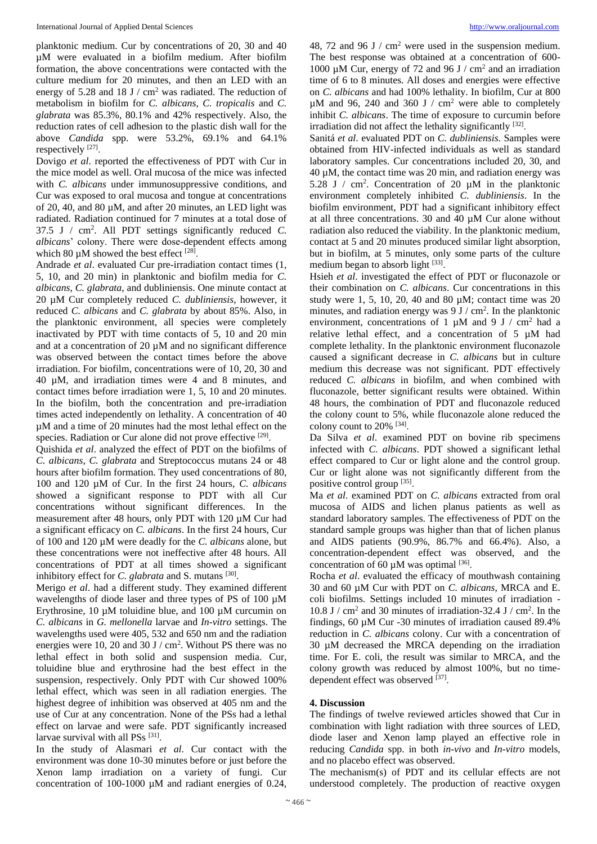planktonic medium. Cur by concentrations of 20, 30 and 40 µM were evaluated in a biofilm medium. After biofilm formation, the above concentrations were contacted with the culture medium for 20 minutes, and then an LED with an energy of 5.28 and 18 J /  $\text{cm}^2$  was radiated. The reduction of metabolism in biofilm for *C. albicans*, *C. tropicalis* and *C. glabrata* was 85.3%, 80.1% and 42% respectively. Also, the reduction rates of cell adhesion to the plastic dish wall for the above *Candida* spp. were 53.2%, 69.1% and 64.1% respectively<sup>[27]</sup>.

Dovigo *et al*. reported the effectiveness of PDT with Cur in the mice model as well. Oral mucosa of the mice was infected with *C. albicans* under immunosuppressive conditions, and Cur was exposed to oral mucosa and tongue at concentrations of 20, 40, and 80 µM, and after 20 minutes, an LED light was radiated. Radiation continued for 7 minutes at a total dose of 37.5 J / cm<sup>2</sup> . All PDT settings significantly reduced *C. albicans*' colony. There were dose-dependent effects among which 80  $\mu$ M showed the best effect [28].

Andrade *et al*. evaluated Cur pre-irradiation contact times (1, 5, 10, and 20 min) in planktonic and biofilm media for *C. albicans*, *C. glabrata*, and dubliniensis. One minute contact at 20 µM Cur completely reduced *C. dubliniensis*, however, it reduced *C. albicans* and *C. glabrata* by about 85%. Also, in the planktonic environment, all species were completely inactivated by PDT with time contacts of 5, 10 and 20 min and at a concentration of 20  $\mu$ M and no significant difference was observed between the contact times before the above irradiation. For biofilm, concentrations were of 10, 20, 30 and 40 µM, and irradiation times were 4 and 8 minutes, and contact times before irradiation were 1, 5, 10 and 20 minutes. In the biofilm, both the concentration and pre-irradiation times acted independently on lethality. A concentration of 40 µM and a time of 20 minutes had the most lethal effect on the species. Radiation or Cur alone did not prove effective [29].

Quishida *et al*. analyzed the effect of PDT on the biofilms of *C. albicans*, *C. glabrata* and Streptococcus mutans 24 or 48 hours after biofilm formation. They used concentrations of 80, 100 and 120 µM of Cur. In the first 24 hours, *C. albicans* showed a significant response to PDT with all Cur concentrations without significant differences. In the measurement after 48 hours, only PDT with 120 µM Cur had a significant efficacy on *C. albicans*. In the first 24 hours, Cur of 100 and 120 µM were deadly for the *C. albicans* alone, but these concentrations were not ineffective after 48 hours. All concentrations of PDT at all times showed a significant inhibitory effect for *C*. glabrata and *S*. mutans [30].

Merigo *et al*. had a different study. They examined different wavelengths of diode laser and three types of PS of 100 µM Erythrosine, 10 µM toluidine blue, and 100 µM curcumin on *C. albicans* in *G. mellonella* larvae and *In-vitro* settings. The wavelengths used were 405, 532 and 650 nm and the radiation energies were 10, 20 and 30 J  $/$  cm<sup>2</sup>. Without PS there was no lethal effect in both solid and suspension media. Cur, toluidine blue and erythrosine had the best effect in the suspension, respectively. Only PDT with Cur showed 100% lethal effect, which was seen in all radiation energies. The highest degree of inhibition was observed at 405 nm and the use of Cur at any concentration. None of the PSs had a lethal effect on larvae and were safe. PDT significantly increased larvae survival with all PSs<sup>[31]</sup>.

In the study of Alasmari *et al*. Cur contact with the environment was done 10-30 minutes before or just before the Xenon lamp irradiation on a variety of fungi. Cur concentration of 100-1000 µM and radiant energies of 0.24,

48, 72 and 96 J / cm<sup>2</sup> were used in the suspension medium. The best response was obtained at a concentration of 600- 1000 µM Cur, energy of 72 and 96 J / cm<sup>2</sup> and an irradiation time of 6 to 8 minutes. All doses and energies were effective on *C. albicans* and had 100% lethality. In biofilm, Cur at 800  $\mu$ M and 96, 240 and 360 J / cm<sup>2</sup> were able to completely inhibit *C. albicans*. The time of exposure to curcumin before irradiation did not affect the lethality significantly [32].

Sanitá *et al*. evaluated PDT on *C. dubliniensis*. Samples were obtained from HIV-infected individuals as well as standard laboratory samples. Cur concentrations included 20, 30, and  $40 \mu$ M, the contact time was 20 min, and radiation energy was 5.28 J / cm<sup>2</sup>. Concentration of 20  $\mu$ M in the planktonic environment completely inhibited *C. dubliniensis*. In the biofilm environment, PDT had a significant inhibitory effect at all three concentrations. 30 and 40 µM Cur alone without radiation also reduced the viability. In the planktonic medium, contact at 5 and 20 minutes produced similar light absorption, but in biofilm, at 5 minutes, only some parts of the culture medium began to absorb light [33].

Hsieh *et al*. investigated the effect of PDT or fluconazole or their combination on *C. albicans*. Cur concentrations in this study were 1, 5, 10, 20, 40 and 80  $\mu$ M; contact time was 20 minutes, and radiation energy was  $9 \text{ J} / \text{ cm}^2$ . In the planktonic environment, concentrations of 1  $\mu$ M and 9 J / cm<sup>2</sup> had a relative lethal effect, and a concentration of 5 µM had complete lethality. In the planktonic environment fluconazole caused a significant decrease in *C. albicans* but in culture medium this decrease was not significant. PDT effectively reduced *C. albicans* in biofilm, and when combined with fluconazole, better significant results were obtained. Within 48 hours, the combination of PDT and fluconazole reduced the colony count to 5%, while fluconazole alone reduced the colony count to  $20\%$  [34].

Da Silva *et al*. examined PDT on bovine rib specimens infected with *C. albicans*. PDT showed a significant lethal effect compared to Cur or light alone and the control group. Cur or light alone was not significantly different from the positive control group [35].

Ma *et al*. examined PDT on *C. albicans* extracted from oral mucosa of AIDS and lichen planus patients as well as standard laboratory samples. The effectiveness of PDT on the standard sample groups was higher than that of lichen planus and AIDS patients (90.9%, 86.7% and 66.4%). Also, a concentration-dependent effect was observed, and the concentration of 60  $\mu$ M was optimal [36].

Rocha *et al*. evaluated the efficacy of mouthwash containing 30 and 60 µM Cur with PDT on *C. albicans*, MRCA and E. coli biofilms. Settings included 10 minutes of irradiation - 10.8 J / cm<sup>2</sup> and 30 minutes of irradiation-32.4 J / cm<sup>2</sup> . In the findings, 60 µM Cur -30 minutes of irradiation caused 89.4% reduction in *C. albicans* colony. Cur with a concentration of 30 µM decreased the MRCA depending on the irradiation time. For E. coli, the result was similar to MRCA, and the colony growth was reduced by almost 100%, but no timedependent effect was observed [37].

#### **4. Discussion**

The findings of twelve reviewed articles showed that Cur in combination with light radiation with three sources of LED, diode laser and Xenon lamp played an effective role in reducing *Candida* spp. in both *in-vivo* and *In-vitro* models, and no placebo effect was observed.

The mechanism(s) of PDT and its cellular effects are not understood completely. The production of reactive oxygen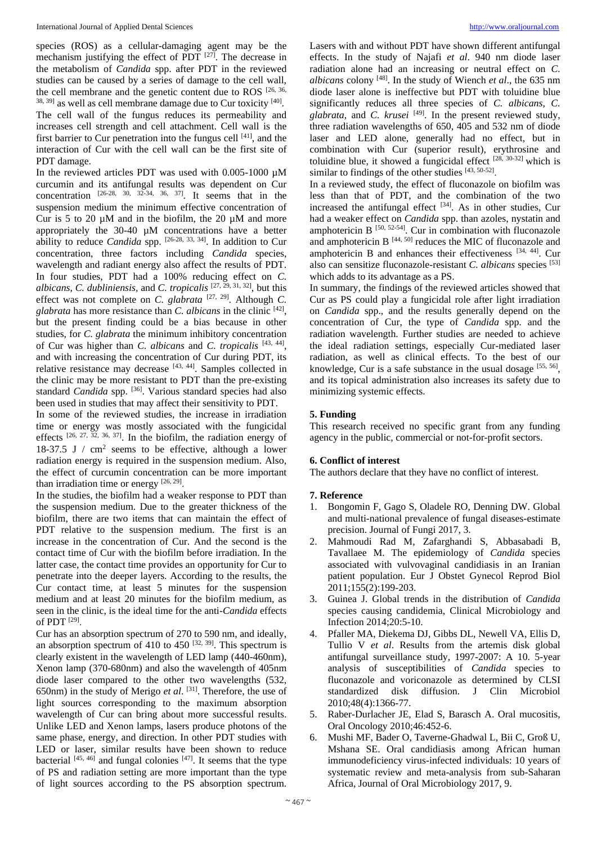species (ROS) as a cellular-damaging agent may be the mechanism justifying the effect of PDT  $[27]$ . The decrease in the metabolism of *Candida* spp. after PDT in the reviewed studies can be caused by a series of damage to the cell wall, the cell membrane and the genetic content due to ROS [26, 36,  $38, 39$ ] as well as cell membrane damage due to Cur toxicity  $[40]$ . The cell wall of the fungus reduces its permeability and increases cell strength and cell attachment. Cell wall is the first barrier to Cur penetration into the fungus cell  $[41]$ , and the interaction of Cur with the cell wall can be the first site of PDT damage.

In the reviewed articles PDT was used with  $0.005$ -1000  $\mu$ M curcumin and its antifungal results was dependent on Cur concentration  $[26-28, 30, 32-34, 36, 37]$ . It seems that in the suspension medium the minimum effective concentration of Cur is 5 to 20  $\mu$ M and in the biofilm, the 20  $\mu$ M and more appropriately the 30-40 µM concentrations have a better ability to reduce *Candida* spp. [26-28, 33, 34] . In addition to Cur concentration, three factors including *Candida* species, wavelength and radiant energy also affect the results of PDT. In four studies, PDT had a 100% reducing effect on *C. albicans*, *C. dubliniensis,* and *C. tropicalis* [27, 29, 31, 32] , but this effect was not complete on *C. glabrata*  $[27, 29]$ . Although *C*. *glabrata* has more resistance than *C. albicans* in the clinic [42] , but the present finding could be a bias because in other studies, for *C. glabrata* the minimum inhibitory concentration of Cur was higher than *C. albicans* and *C. tropicalis* [43, 44] , and with increasing the concentration of Cur during PDT, its relative resistance may decrease  $[43, 44]$ . Samples collected in the clinic may be more resistant to PDT than the pre-existing standard *Candida* spp. <sup>[36]</sup>. Various standard species had also been used in studies that may affect their sensitivity to PDT.

In some of the reviewed studies, the increase in irradiation time or energy was mostly associated with the fungicidal effects  $[26, 27, 32, 36, 37]$ . In the biofilm, the radiation energy of 18-37.5 J  $/$  cm<sup>2</sup> seems to be effective, although a lower radiation energy is required in the suspension medium. Also, the effect of curcumin concentration can be more important than irradiation time or energy  $[26, 29]$ .

In the studies, the biofilm had a weaker response to PDT than the suspension medium. Due to the greater thickness of the biofilm, there are two items that can maintain the effect of PDT relative to the suspension medium. The first is an increase in the concentration of Cur. And the second is the contact time of Cur with the biofilm before irradiation. In the latter case, the contact time provides an opportunity for Cur to penetrate into the deeper layers. According to the results, the Cur contact time, at least 5 minutes for the suspension medium and at least 20 minutes for the biofilm medium, as seen in the clinic, is the ideal time for the anti-*Candida* effects of PDT<sup>[29]</sup>.

Cur has an absorption spectrum of 270 to 590 nm, and ideally, an absorption spectrum of 410 to 450  $[32, 39]$ . This spectrum is clearly existent in the wavelength of LED lamp (440-460nm), Xenon lamp (370-680nm) and also the wavelength of 405nm diode laser compared to the other two wavelengths (532, 650nm) in the study of Merigo *et al*. [31] . Therefore, the use of light sources corresponding to the maximum absorption wavelength of Cur can bring about more successful results. Unlike LED and Xenon lamps, lasers produce photons of the same phase, energy, and direction. In other PDT studies with LED or laser, similar results have been shown to reduce bacterial  $[45, 46]$  and fungal colonies  $[47]$ . It seems that the type of PS and radiation setting are more important than the type of light sources according to the PS absorption spectrum.

Lasers with and without PDT have shown different antifungal effects. In the study of Najafi *et al*. 940 nm diode laser radiation alone had an increasing or neutral effect on *C. albicans* colony [48] . In the study of Wiench *et al*., the 635 nm diode laser alone is ineffective but PDT with toluidine blue significantly reduces all three species of *C. albicans*, *C. glabrata*, and *C. krusei* [49] . In the present reviewed study, three radiation wavelengths of 650, 405 and 532 nm of diode laser and LED alone, generally had no effect, but in combination with Cur (superior result), erythrosine and toluidine blue, it showed a fungicidal effect  $[28, 30-32]$  which is similar to findings of the other studies [43, 50-52].

In a reviewed study, the effect of fluconazole on biofilm was less than that of PDT, and the combination of the two increased the antifungal effect  $[34]$ . As in other studies, Cur had a weaker effect on *Candida* spp. than azoles, nystatin and amphotericin B  $[50, 52-54]$ . Cur in combination with fluconazole and amphotericin B  $[44, 50]$  reduces the MIC of fluconazole and amphotericin B and enhances their effectiveness [34, 44] . Cur also can sensitize fluconazole-resistant *C. albicans* species [53] which adds to its advantage as a PS.

In summary, the findings of the reviewed articles showed that Cur as PS could play a fungicidal role after light irradiation on *Candida* spp., and the results generally depend on the concentration of Cur, the type of *Candida* spp. and the radiation wavelength. Further studies are needed to achieve the ideal radiation settings, especially Cur-mediated laser radiation, as well as clinical effects. To the best of our knowledge, Cur is a safe substance in the usual dosage [55, 56], and its topical administration also increases its safety due to minimizing systemic effects.

# **5. Funding**

This research received no specific grant from any funding agency in the public, commercial or not-for-profit sectors.

# **6. Conflict of interest**

The authors declare that they have no conflict of interest.

# **7. Reference**

- 1. Bongomin F, Gago S, Oladele RO, Denning DW. Global and multi-national prevalence of fungal diseases-estimate precision. Journal of Fungi 2017, 3.
- 2. Mahmoudi Rad M, Zafarghandi S, Abbasabadi B, Tavallaee M. The epidemiology of *Candida* species associated with vulvovaginal candidiasis in an Iranian patient population. Eur J Obstet Gynecol Reprod Biol 2011;155(2):199-203.
- 3. Guinea J. Global trends in the distribution of *Candida* species causing candidemia, Clinical Microbiology and Infection 2014;20:5-10.
- 4. Pfaller MA, Diekema DJ, Gibbs DL, Newell VA, Ellis D, Tullio V *et al*. Results from the artemis disk global antifungal surveillance study, 1997-2007: A 10. 5-year analysis of susceptibilities of *Candida* species to fluconazole and voriconazole as determined by CLSI standardized disk diffusion. J Clin Microbiol 2010;48(4):1366-77.
- 5. Raber-Durlacher JE, Elad S, Barasch A. Oral mucositis, Oral Oncology 2010;46:452-6.
- 6. Mushi MF, Bader O, Taverne-Ghadwal L, Bii C, Groß U, Mshana SE. Oral candidiasis among African human immunodeficiency virus-infected individuals: 10 years of systematic review and meta-analysis from sub-Saharan Africa, Journal of Oral Microbiology 2017, 9.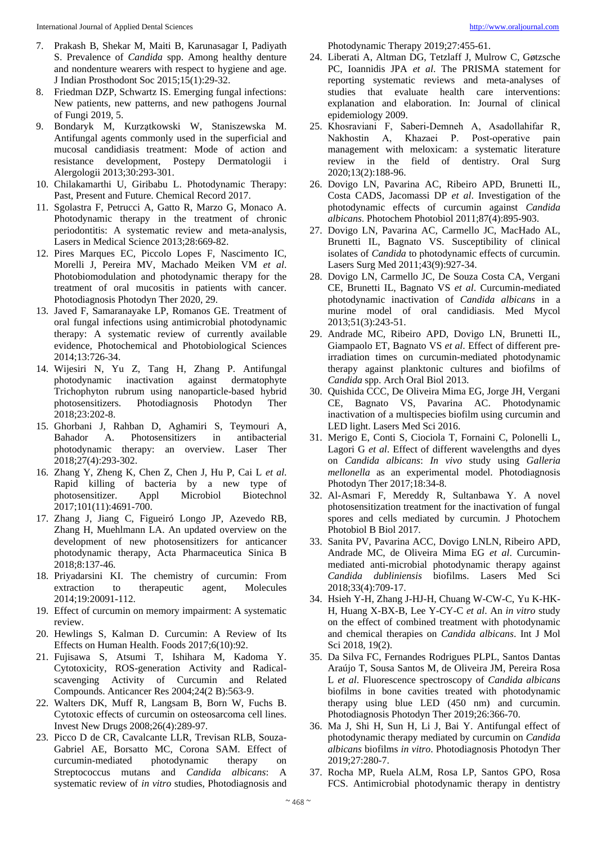- 7. Prakash B, Shekar M, Maiti B, Karunasagar I, Padiyath S. Prevalence of *Candida* spp. Among healthy denture and nondenture wearers with respect to hygiene and age. J Indian Prosthodont Soc 2015;15(1):29-32.
- 8. Friedman DZP, Schwartz IS. Emerging fungal infections: New patients, new patterns, and new pathogens Journal of Fungi 2019, 5.
- 9. Bondaryk M, Kurza̧tkowski W, Staniszewska M. Antifungal agents commonly used in the superficial and mucosal candidiasis treatment: Mode of action and resistance development, Postepy Dermatologii i Alergologii 2013;30:293-301.
- 10. Chilakamarthi U, Giribabu L. Photodynamic Therapy: Past, Present and Future. Chemical Record 2017.
- 11. Sgolastra F, Petrucci A, Gatto R, Marzo G, Monaco A. Photodynamic therapy in the treatment of chronic periodontitis: A systematic review and meta-analysis, Lasers in Medical Science 2013;28:669-82.
- 12. Pires Marques EC, Piccolo Lopes F, Nascimento IC, Morelli J, Pereira MV, Machado Meiken VM *et al*. Photobiomodulation and photodynamic therapy for the treatment of oral mucositis in patients with cancer. Photodiagnosis Photodyn Ther 2020, 29.
- 13. Javed F, Samaranayake LP, Romanos GE. Treatment of oral fungal infections using antimicrobial photodynamic therapy: A systematic review of currently available evidence, Photochemical and Photobiological Sciences 2014;13:726-34.
- 14. Wijesiri N, Yu Z, Tang H, Zhang P. Antifungal photodynamic inactivation against dermatophyte Trichophyton rubrum using nanoparticle-based hybrid photosensitizers. Photodiagnosis Photodyn Ther 2018;23:202-8.
- 15. Ghorbani J, Rahban D, Aghamiri S, Teymouri A, Bahador A. Photosensitizers in antibacterial photodynamic therapy: an overview. Laser Ther 2018;27(4):293-302.
- 16. Zhang Y, Zheng K, Chen Z, Chen J, Hu P, Cai L *et al*. Rapid killing of bacteria by a new type of photosensitizer. Appl Microbiol Biotechnol 2017;101(11):4691-700.
- 17. Zhang J, Jiang C, Figueiró Longo JP, Azevedo RB, Zhang H, Muehlmann LA. An updated overview on the development of new photosensitizers for anticancer photodynamic therapy, Acta Pharmaceutica Sinica B 2018;8:137-46.
- 18. Priyadarsini KI. The chemistry of curcumin: From extraction to therapeutic agent, Molecules 2014;19:20091-112.
- 19. Effect of curcumin on memory impairment: A systematic review.
- 20. Hewlings S, Kalman D. Curcumin: A Review of Its Effects on Human Health. Foods 2017;6(10):92.
- 21. Fujisawa S, Atsumi T, Ishihara M, Kadoma Y. Cytotoxicity, ROS-generation Activity and Radicalscavenging Activity of Curcumin and Related Compounds. Anticancer Res 2004;24(2 B):563-9.
- 22. Walters DK, Muff R, Langsam B, Born W, Fuchs B. Cytotoxic effects of curcumin on osteosarcoma cell lines. Invest New Drugs 2008;26(4):289-97.
- 23. Picco D de CR, Cavalcante LLR, Trevisan RLB, Souza-Gabriel AE, Borsatto MC, Corona SAM. Effect of curcumin-mediated photodynamic therapy on Streptococcus mutans and *Candida albicans*: A systematic review of *in vitro* studies, Photodiagnosis and

Photodynamic Therapy 2019;27:455-61.

- 24. Liberati A, Altman DG, Tetzlaff J, Mulrow C, Gøtzsche PC, Ioannidis JPA *et al*. The PRISMA statement for reporting systematic reviews and meta-analyses of studies that evaluate health care interventions: explanation and elaboration. In: Journal of clinical epidemiology 2009.
- 25. Khosraviani F, Saberi‐Demneh A, Asadollahifar R, Nakhostin A, Khazaei P. Post‐operative pain management with meloxicam: a systematic literature review in the field of dentistry. Oral Surg 2020;13(2):188-96.
- 26. Dovigo LN, Pavarina AC, Ribeiro APD, Brunetti IL, Costa CADS, Jacomassi DP *et al*. Investigation of the photodynamic effects of curcumin against *Candida albicans*. Photochem Photobiol 2011;87(4):895-903.
- 27. Dovigo LN, Pavarina AC, Carmello JC, MacHado AL, Brunetti IL, Bagnato VS. Susceptibility of clinical isolates of *Candida* to photodynamic effects of curcumin. Lasers Surg Med 2011;43(9):927-34.
- 28. Dovigo LN, Carmello JC, De Souza Costa CA, Vergani CE, Brunetti IL, Bagnato VS *et al*. Curcumin-mediated photodynamic inactivation of *Candida albicans* in a murine model of oral candidiasis. Med Mycol 2013;51(3):243-51.
- 29. Andrade MC, Ribeiro APD, Dovigo LN, Brunetti IL, Giampaolo ET, Bagnato VS *et al*. Effect of different preirradiation times on curcumin-mediated photodynamic therapy against planktonic cultures and biofilms of *Candida* spp. Arch Oral Biol 2013.
- 30. Quishida CCC, De Oliveira Mima EG, Jorge JH, Vergani CE, Bagnato VS, Pavarina AC. Photodynamic inactivation of a multispecies biofilm using curcumin and LED light. Lasers Med Sci 2016.
- 31. Merigo E, Conti S, Ciociola T, Fornaini C, Polonelli L, Lagori G *et al*. Effect of different wavelengths and dyes on *Candida albicans*: *In vivo* study using *Galleria mellonella* as an experimental model. Photodiagnosis Photodyn Ther 2017;18:34-8.
- 32. Al-Asmari F, Mereddy R, Sultanbawa Y. A novel photosensitization treatment for the inactivation of fungal spores and cells mediated by curcumin. J Photochem Photobiol B Biol 2017.
- 33. Sanita PV, Pavarina ACC, Dovigo LNLN, Ribeiro APD, Andrade MC, de Oliveira Mima EG *et al*. Curcuminmediated anti-microbial photodynamic therapy against *Candida dubliniensis* biofilms. Lasers Med Sci 2018;33(4):709-17.
- 34. Hsieh Y-H, Zhang J-HJ-H, Chuang W-CW-C, Yu K-HK-H, Huang X-BX-B, Lee Y-CY-C *et al*. An *in vitro* study on the effect of combined treatment with photodynamic and chemical therapies on *Candida albicans*. Int J Mol Sci 2018, 19(2).
- 35. Da Silva FC, Fernandes Rodrigues PLPL, Santos Dantas Araújo T, Sousa Santos M, de Oliveira JM, Pereira Rosa L *et al*. Fluorescence spectroscopy of *Candida albicans* biofilms in bone cavities treated with photodynamic therapy using blue LED (450 nm) and curcumin. Photodiagnosis Photodyn Ther 2019;26:366-70.
- 36. Ma J, Shi H, Sun H, Li J, Bai Y. Antifungal effect of photodynamic therapy mediated by curcumin on *Candida albicans* biofilms *in vitro*. Photodiagnosis Photodyn Ther 2019;27:280-7.
- 37. Rocha MP, Ruela ALM, Rosa LP, Santos GPO, Rosa FCS. Antimicrobial photodynamic therapy in dentistry